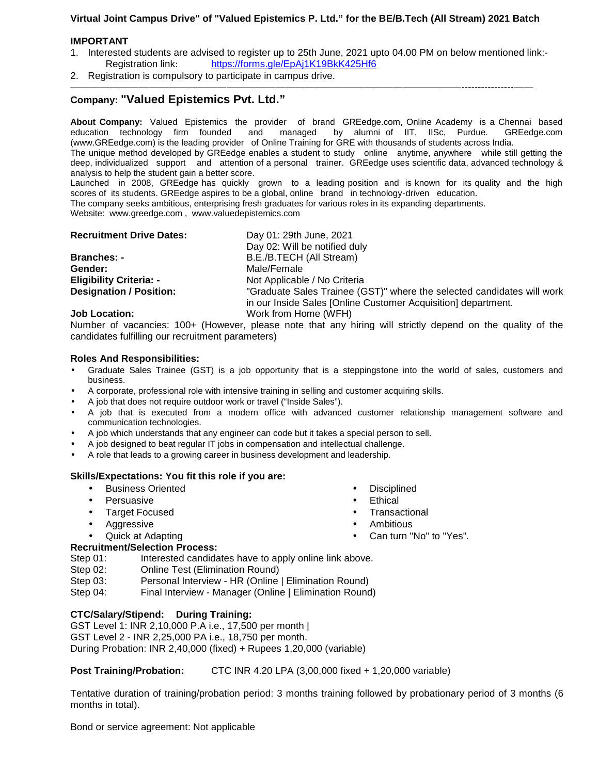# **Virtual Joint Campus Drive" of "Valued Epistemics P. Ltd." for the BE/B.Tech (All Stream) 2021 Batch**

### **IMPORTANT**

- 1. Interested students are advised to register up to 25th June, 2021 upto 04.00 PM on below mentioned link:- Registration link: https://forms.gle/EpAj1K19BkK425Hf6
- 2. Registration is compulsory to participate in campus drive.

# **Company: "Valued Epistemics Pvt. Ltd."**

**About Company:** Valued Epistemics the provider of brand GREedge.com, Online Academy is a Chennai based education technology firm founded and managed by alumni of IIT, IISc, Purdue. GREedge.com (www.GREedge.com) is the leading provider of Online Training for GRE with thousands of students across India. The unique method developed by GREedge enables a student to study online anytime, anywhere while still getting the

————————————————————————————————————————----------------——

deep, individualized support and attention of a personal trainer. GREedge uses scientific data, advanced technology & analysis to help the student gain a better score.

Launched in 2008, GREedge has quickly grown to a leading position and is known for its quality and the high scores of its students. GREedge aspires to be a global, online brand in technology-driven education.

The company seeks ambitious, enterprising fresh graduates for various roles in its expanding departments.

Website: www.greedge.com , www.valuedepistemics.com

| <b>Recruitment Drive Dates:</b> | Day 01: 29th June, 2021                                                |
|---------------------------------|------------------------------------------------------------------------|
|                                 | Day 02: Will be notified duly                                          |
| <b>Branches: -</b>              | B.E./B.TECH (All Stream)                                               |
| Gender:                         | Male/Female                                                            |
| <b>Eligibility Criteria: -</b>  | Not Applicable / No Criteria                                           |
| <b>Designation / Position:</b>  | "Graduate Sales Trainee (GST)" where the selected candidates will work |
|                                 | in our Inside Sales [Online Customer Acquisition] department.          |
| <b>Job Location:</b>            | Work from Home (WFH)                                                   |

Number of vacancies: 100+ (However, please note that any hiring will strictly depend on the quality of the candidates fulfilling our recruitment parameters)

### **Roles And Responsibilities:**

- Graduate Sales Trainee (GST) is a job opportunity that is a steppingstone into the world of sales, customers and business.
- A corporate, professional role with intensive training in selling and customer acquiring skills.
- A job that does not require outdoor work or travel ("Inside Sales").
- A job that is executed from a modern office with advanced customer relationship management software and communication technologies.
- A job which understands that any engineer can code but it takes a special person to sell.
- A job designed to beat regular IT jobs in compensation and intellectual challenge.
- A role that leads to a growing career in business development and leadership.

# **Skills/Expectations: You fit this role if you are:**

- Business Oriented
- Persuasive
- Target Focused
- Aggressive
- Quick at Adapting
- **Disciplined**
- **Ethical**
- **Transactional**
- **Ambitious**
- Can turn "No" to "Yes".

# **Recruitment/Selection Process:**

Step 01: Interested candidates have to apply online link above.

- Step 02: Online Test (Elimination Round)
- Step 03: Personal Interview HR (Online | Elimination Round)

Step 04: Final Interview - Manager (Online | Elimination Round)

# **CTC/Salary/Stipend: During Training:**

GST Level 1: INR 2,10,000 P.A i.e., 17,500 per month | GST Level 2 - INR 2,25,000 PA i.e., 18,750 per month. During Probation: INR 2,40,000 (fixed) + Rupees 1,20,000 (variable)

# **Post Training/Probation:** CTC INR 4.20 LPA (3,00,000 fixed + 1,20,000 variable)

Tentative duration of training/probation period: 3 months training followed by probationary period of 3 months (6 months in total).

Bond or service agreement: Not applicable